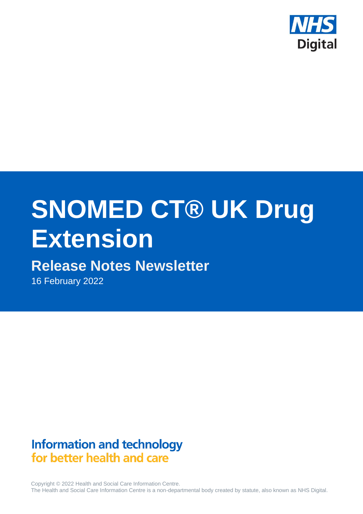

# **SNOMED CT® UK Drug Extension**

# **Release Notes Newsletter**

16 February 2022

# **Information and technology** for better health and care

Copyright © 2022 Health and Social Care Information Centre. The Health and Social Care Information Centre is a non-departmental body created by statute, also known as NHS Digital.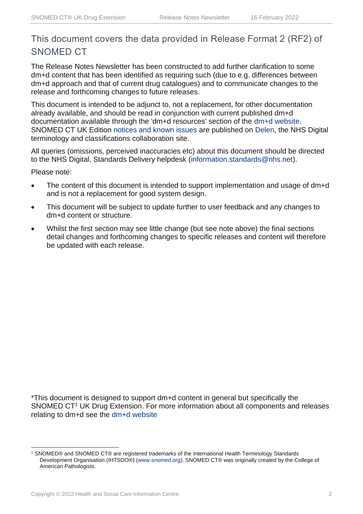## This document covers the data provided in Release Format 2 (RF2) of SNOMED CT

The Release Notes Newsletter has been constructed to add further clarification to some dm+d content that has been identified as requiring such (due to e.g. differences between dm+d approach and that of current drug catalogues) and to communicate changes to the release and forthcoming changes to future releases.

This document is intended to be adjunct to, not a replacement, for other documentation already available, and should be read in conjunction with current published dm+d documentation available through the 'dm+d resources' section of the [dm+d website.](https://www.nhsbsa.nhs.uk/pharmacies-gp-practices-and-appliance-contractors/dictionary-medicines-and-devices-dmd) SNOMED CT UK Edition [notices and known issues](https://hscic.kahootz.com/connect.ti/t_c_home/view?objectId=14224752) are published on [Delen,](https://hscic.kahootz.com/connect.ti/t_c_home) the NHS Digital terminology and classifications collaboration site.

All queries (omissions, perceived inaccuracies etc) about this document should be directed to the NHS Digital, Standards Delivery helpdesk [\(information.standards@nhs.net\)](mailto:information.standards@nhs.net).

Please note:

- The content of this document is intended to support implementation and usage of dm+d and is not a replacement for good system design.
- This document will be subject to update further to user feedback and any changes to dm+d content or structure.
- Whilst the first section may see little change (but see note above) the final sections detail changes and forthcoming changes to specific releases and content will therefore be updated with each release.

\*This document is designed to support dm+d content in general but specifically the SNOMED CT<sup>1</sup> UK Drug Extension. For more information about all components and releases relating to dm+d see the [dm+d website](https://www.nhsbsa.nhs.uk/pharmacies-gp-practices-and-appliance-contractors/dictionary-medicines-and-devices-dmd)

<sup>1</sup> SNOMED® and SNOMED CT® are registered trademarks of the International Health Terminology Standards Development Organisation (IHTSDO®) [\(www.snomed.org\)](http://www.snomed.org/). SNOMED CT® was originally created by the College of American Pathologists.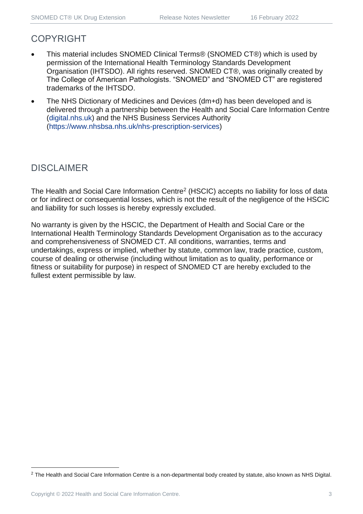## COPYRIGHT

- This material includes SNOMED Clinical Terms® (SNOMED CT®) which is used by permission of the International Health Terminology Standards Development Organisation (IHTSDO). All rights reserved. SNOMED CT®, was originally created by The College of American Pathologists. "SNOMED" and "SNOMED CT" are registered trademarks of the IHTSDO.
- The NHS Dictionary of Medicines and Devices (dm+d) has been developed and is delivered through a partnership between the Health and Social Care Information Centre [\(digital.nhs.uk\)](https://digital.nhs.uk/) and the NHS Business Services Authority [\(https://www.nhsbsa.nhs.uk/nhs-prescription-services\)](https://www.nhsbsa.nhs.uk/nhs-prescription-services)

## DISCLAIMER

The Health and Social Care Information Centre<sup>2</sup> (HSCIC) accepts no liability for loss of data or for indirect or consequential losses, which is not the result of the negligence of the HSCIC and liability for such losses is hereby expressly excluded.

No warranty is given by the HSCIC, the Department of Health and Social Care or the International Health Terminology Standards Development Organisation as to the accuracy and comprehensiveness of SNOMED CT. All conditions, warranties, terms and undertakings, express or implied, whether by statute, common law, trade practice, custom, course of dealing or otherwise (including without limitation as to quality, performance or fitness or suitability for purpose) in respect of SNOMED CT are hereby excluded to the fullest extent permissible by law.

<sup>&</sup>lt;sup>2</sup> The Health and Social Care Information Centre is a non-departmental body created by statute, also known as NHS Digital.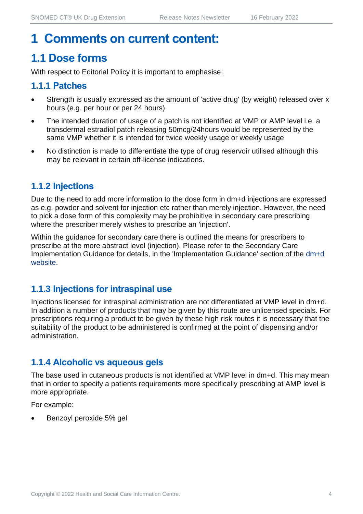## **1 Comments on current content:**

## **1.1 Dose forms**

With respect to Editorial Policy it is important to emphasise:

## **1.1.1 Patches**

- Strength is usually expressed as the amount of 'active drug' (by weight) released over x hours (e.g. per hour or per 24 hours)
- The intended duration of usage of a patch is not identified at VMP or AMP level i.e. a transdermal estradiol patch releasing 50mcg/24hours would be represented by the same VMP whether it is intended for twice weekly usage or weekly usage
- No distinction is made to differentiate the type of drug reservoir utilised although this may be relevant in certain off-license indications.

## **1.1.2 Injections**

Due to the need to add more information to the dose form in dm+d injections are expressed as e.g. powder and solvent for injection etc rather than merely injection. However, the need to pick a dose form of this complexity may be prohibitive in secondary care prescribing where the prescriber merely wishes to prescribe an 'injection'.

Within the guidance for secondary care there is outlined the means for prescribers to prescribe at the more abstract level (injection). Please refer to the Secondary Care Implementation Guidance for details, in the 'Implementation Guidance' section of the [dm+d](https://www.nhsbsa.nhs.uk/pharmacies-gp-practices-and-appliance-contractors/dictionary-medicines-and-devices-dmd)  [website.](https://www.nhsbsa.nhs.uk/pharmacies-gp-practices-and-appliance-contractors/dictionary-medicines-and-devices-dmd)

#### **1.1.3 Injections for intraspinal use**

Injections licensed for intraspinal administration are not differentiated at VMP level in dm+d. In addition a number of products that may be given by this route are unlicensed specials. For prescriptions requiring a product to be given by these high risk routes it is necessary that the suitability of the product to be administered is confirmed at the point of dispensing and/or administration.

## **1.1.4 Alcoholic vs aqueous gels**

The base used in cutaneous products is not identified at VMP level in dm+d. This may mean that in order to specify a patients requirements more specifically prescribing at AMP level is more appropriate.

For example:

• Benzoyl peroxide 5% gel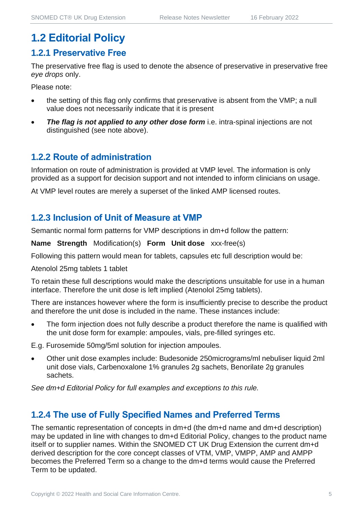## **1.2 Editorial Policy**

#### **1.2.1 Preservative Free**

The preservative free flag is used to denote the absence of preservative in preservative free *eye drops* only.

Please note:

- the setting of this flag only confirms that preservative is absent from the VMP; a null value does not necessarily indicate that it is present
- **The flag is not applied to any other dose form** i.e. intra-spinal injections are not distinguished (see note above).

#### **1.2.2 Route of administration**

Information on route of administration is provided at VMP level. The information is only provided as a support for decision support and not intended to inform clinicians on usage.

At VMP level routes are merely a superset of the linked AMP licensed routes.

#### **1.2.3 Inclusion of Unit of Measure at VMP**

Semantic normal form patterns for VMP descriptions in dm+d follow the pattern:

**Name Strength** Modification(s) **Form Unit dose** xxx-free(s)

Following this pattern would mean for tablets, capsules etc full description would be:

Atenolol 25mg tablets 1 tablet

To retain these full descriptions would make the descriptions unsuitable for use in a human interface. Therefore the unit dose is left implied (Atenolol 25mg tablets).

There are instances however where the form is insufficiently precise to describe the product and therefore the unit dose is included in the name. These instances include:

The form injection does not fully describe a product therefore the name is qualified with the unit dose form for example: ampoules, vials, pre-filled syringes etc.

E.g. Furosemide 50mg/5ml solution for injection ampoules.

• Other unit dose examples include: Budesonide 250micrograms/ml nebuliser liquid 2ml unit dose vials, Carbenoxalone 1% granules 2g sachets, Benorilate 2g granules sachets.

*See dm+d Editorial Policy for full examples and exceptions to this rule.*

#### **1.2.4 The use of Fully Specified Names and Preferred Terms**

The semantic representation of concepts in dm+d (the dm+d name and dm+d description) may be updated in line with changes to dm+d Editorial Policy, changes to the product name itself or to supplier names. Within the SNOMED CT UK Drug Extension the current dm+d derived description for the core concept classes of VTM, VMP, VMPP, AMP and AMPP becomes the Preferred Term so a change to the dm+d terms would cause the Preferred Term to be updated.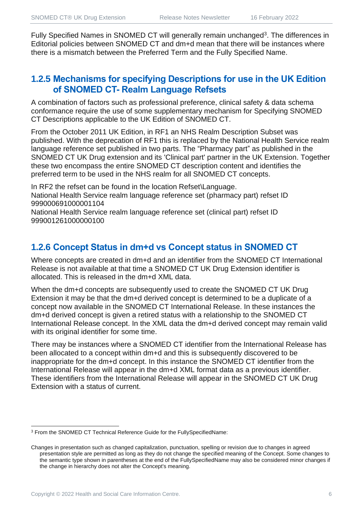Fully Specified Names in SNOMED CT will generally remain unchanged<sup>3</sup>. The differences in Editorial policies between SNOMED CT and dm+d mean that there will be instances where there is a mismatch between the Preferred Term and the Fully Specified Name.

## **1.2.5 Mechanisms for specifying Descriptions for use in the UK Edition of SNOMED CT- Realm Language Refsets**

A combination of factors such as professional preference, clinical safety & data schema conformance require the use of some supplementary mechanism for Specifying SNOMED CT Descriptions applicable to the UK Edition of SNOMED CT.

From the October 2011 UK Edition, in RF1 an NHS Realm Description Subset was published. With the deprecation of RF1 this is replaced by the National Health Service realm language reference set published in two parts. The "Pharmacy part" as published in the SNOMED CT UK Drug extension and its 'Clinical part' partner in the UK Extension. Together these two encompass the entire SNOMED CT description content and identifies the preferred term to be used in the NHS realm for all SNOMED CT concepts.

In RF2 the refset can be found in the location Refset\Language. National Health Service realm language reference set (pharmacy part) refset ID 999000691000001104

National Health Service realm language reference set (clinical part) refset ID 999001261000000100

## **1.2.6 Concept Status in dm+d vs Concept status in SNOMED CT**

Where concepts are created in dm+d and an identifier from the SNOMED CT International Release is not available at that time a SNOMED CT UK Drug Extension identifier is allocated. This is released in the dm+d XML data.

When the dm+d concepts are subsequently used to create the SNOMED CT UK Drug Extension it may be that the dm+d derived concept is determined to be a duplicate of a concept now available in the SNOMED CT International Release. In these instances the dm+d derived concept is given a retired status with a relationship to the SNOMED CT International Release concept. In the XML data the dm+d derived concept may remain valid with its original identifier for some time.

There may be instances where a SNOMED CT identifier from the International Release has been allocated to a concept within dm+d and this is subsequently discovered to be inappropriate for the dm+d concept. In this instance the SNOMED CT identifier from the International Release will appear in the dm+d XML format data as a previous identifier. These identifiers from the International Release will appear in the SNOMED CT UK Drug Extension with a status of current.

<sup>3</sup> From the SNOMED CT Technical Reference Guide for the FullySpecifiedName:

Changes in presentation such as changed capitalization, punctuation, spelling or revision due to changes in agreed presentation style are permitted as long as they do not change the specified meaning of the Concept. Some changes to the semantic type shown in parentheses at the end of the FullySpecifiedName may also be considered minor changes if the change in hierarchy does not alter the Concept's meaning.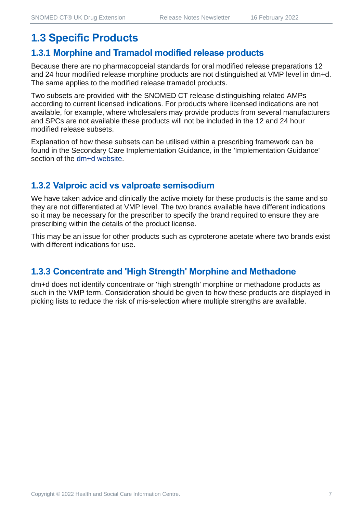## **1.3 Specific Products**

#### **1.3.1 Morphine and Tramadol modified release products**

Because there are no pharmacopoeial standards for oral modified release preparations 12 and 24 hour modified release morphine products are not distinguished at VMP level in dm+d. The same applies to the modified release tramadol products.

Two subsets are provided with the SNOMED CT release distinguishing related AMPs according to current licensed indications. For products where licensed indications are not available, for example, where wholesalers may provide products from several manufacturers and SPCs are not available these products will not be included in the 12 and 24 hour modified release subsets.

Explanation of how these subsets can be utilised within a prescribing framework can be found in the Secondary Care Implementation Guidance, in the 'Implementation Guidance' section of the [dm+d website.](https://www.nhsbsa.nhs.uk/pharmacies-gp-practices-and-appliance-contractors/dictionary-medicines-and-devices-dmd)

## **1.3.2 Valproic acid vs valproate semisodium**

We have taken advice and clinically the active moiety for these products is the same and so they are not differentiated at VMP level. The two brands available have different indications so it may be necessary for the prescriber to specify the brand required to ensure they are prescribing within the details of the product license.

This may be an issue for other products such as cyproterone acetate where two brands exist with different indications for use.

## **1.3.3 Concentrate and 'High Strength' Morphine and Methadone**

dm+d does not identify concentrate or 'high strength' morphine or methadone products as such in the VMP term. Consideration should be given to how these products are displayed in picking lists to reduce the risk of mis-selection where multiple strengths are available.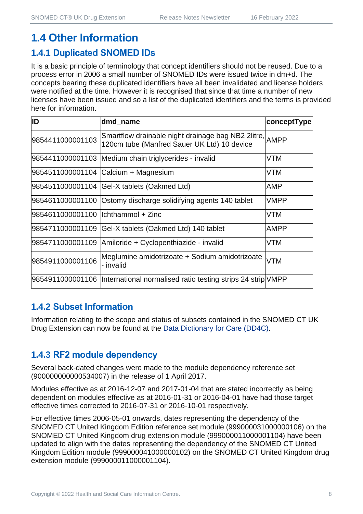## **1.4 Other Information**

## **1.4.1 Duplicated SNOMED IDs**

It is a basic principle of terminology that concept identifiers should not be reused. Due to a process error in 2006 a small number of SNOMED IDs were issued twice in dm+d. The concepts bearing these duplicated identifiers have all been invalidated and license holders were notified at the time. However it is recognised that since that time a number of new licenses have been issued and so a list of the duplicated identifiers and the terms is provided here for information.

| ID                                  | dmd_name                                                                                               | conceptType |
|-------------------------------------|--------------------------------------------------------------------------------------------------------|-------------|
| 9854411000001103                    | Smartflow drainable night drainage bag NB2 2litre, AMPP<br>120cm tube (Manfred Sauer UK Ltd) 10 device |             |
|                                     | 9854411000001103 Medium chain triglycerides - invalid                                                  | <b>VTM</b>  |
|                                     | 9854511000001104 Calcium + Magnesium                                                                   | <b>VTM</b>  |
|                                     | 9854511000001104 Gel-X tablets (Oakmed Ltd)                                                            | AMP         |
|                                     | 9854611000001100 Ostomy discharge solidifying agents 140 tablet                                        | <b>VMPP</b> |
| 9854611000001100  lchthammol + Zinc |                                                                                                        | <b>VTM</b>  |
| 9854711000001109                    | Gel-X tablets (Oakmed Ltd) 140 tablet                                                                  | <b>AMPP</b> |
|                                     | 9854711000001109 Amiloride + Cyclopenthiazide - invalid                                                | <b>VTM</b>  |
| 9854911000001106                    | Meglumine amidotrizoate + Sodium amidotrizoate<br>- invalid                                            | <b>VTM</b>  |
|                                     | 9854911000001106  International normalised ratio testing strips 24 strip VMPP                          |             |

## **1.4.2 Subset Information**

Information relating to the scope and status of subsets contained in the SNOMED CT UK Drug Extension can now be found at the [Data Dictionary for Care \(DD4C\).](https://dd4c.digital.nhs.uk/dd4c/)

## **1.4.3 RF2 module dependency**

Several back-dated changes were made to the module dependency reference set (900000000000534007) in the release of 1 April 2017.

Modules effective as at 2016-12-07 and 2017-01-04 that are stated incorrectly as being dependent on modules effective as at 2016-01-31 or 2016-04-01 have had those target effective times corrected to 2016-07-31 or 2016-10-01 respectively.

For effective times 2006-05-01 onwards, dates representing the dependency of the SNOMED CT United Kingdom Edition reference set module (999000031000000106) on the SNOMED CT United Kingdom drug extension module (999000011000001104) have been updated to align with the dates representing the dependency of the SNOMED CT United Kingdom Edition module (999000041000000102) on the SNOMED CT United Kingdom drug extension module (999000011000001104).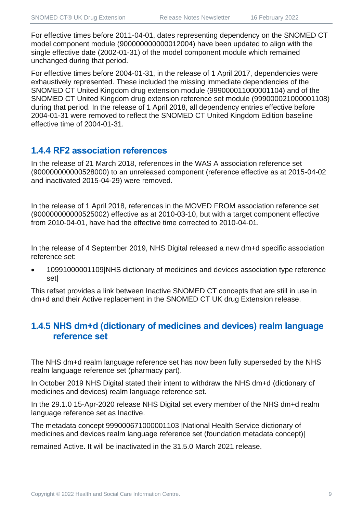For effective times before 2011-04-01, dates representing dependency on the SNOMED CT model component module (900000000000012004) have been updated to align with the single effective date (2002-01-31) of the model component module which remained unchanged during that period.

For effective times before 2004-01-31, in the release of 1 April 2017, dependencies were exhaustively represented. These included the missing immediate dependencies of the SNOMED CT United Kingdom drug extension module (999000011000001104) and of the SNOMED CT United Kingdom drug extension reference set module (999000021000001108) during that period. In the release of 1 April 2018, all dependency entries effective before 2004-01-31 were removed to reflect the SNOMED CT United Kingdom Edition baseline effective time of 2004-01-31.

## **1.4.4 RF2 association references**

In the release of 21 March 2018, references in the WAS A association reference set (900000000000528000) to an unreleased component (reference effective as at 2015-04-02 and inactivated 2015-04-29) were removed.

In the release of 1 April 2018, references in the MOVED FROM association reference set (900000000000525002) effective as at 2010-03-10, but with a target component effective from 2010-04-01, have had the effective time corrected to 2010-04-01.

In the release of 4 September 2019, NHS Digital released a new dm+d specific association reference set:

• 10991000001109|NHS dictionary of medicines and devices association type reference set|

This refset provides a link between Inactive SNOMED CT concepts that are still in use in dm+d and their Active replacement in the SNOMED CT UK drug Extension release.

## **1.4.5 NHS dm+d (dictionary of medicines and devices) realm language reference set**

The NHS dm+d realm language reference set has now been fully superseded by the NHS realm language reference set (pharmacy part).

In October 2019 NHS Digital stated their intent to withdraw the NHS dm+d (dictionary of medicines and devices) realm language reference set.

In the 29.1.0 15-Apr-2020 release NHS Digital set every member of the NHS dm+d realm language reference set as Inactive.

The metadata concept 999000671000001103 |National Health Service dictionary of medicines and devices realm language reference set (foundation metadata concept)|

remained Active. It will be inactivated in the 31.5.0 March 2021 release.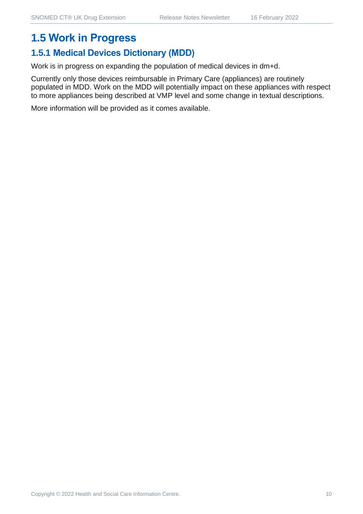## **1.5 Work in Progress**

## **1.5.1 Medical Devices Dictionary (MDD)**

Work is in progress on expanding the population of medical devices in dm+d.

Currently only those devices reimbursable in Primary Care (appliances) are routinely populated in MDD. Work on the MDD will potentially impact on these appliances with respect to more appliances being described at VMP level and some change in textual descriptions.

More information will be provided as it comes available.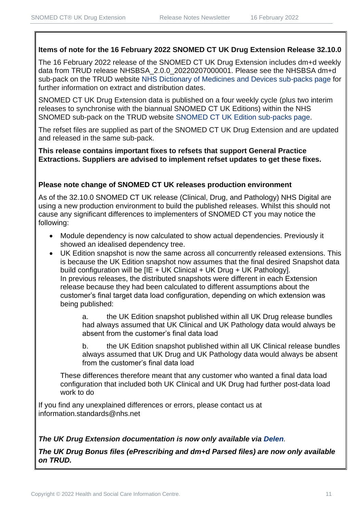#### **Items of note for the 16 February 2022 SNOMED CT UK Drug Extension Release 32.10.0**

The 16 February 2022 release of the SNOMED CT UK Drug Extension includes dm+d weekly data from TRUD release NHSBSA 2.0.0 20220207000001. Please see the NHSBSA dm+d sub-pack on the TRUD website [NHS Dictionary of Medicines and Devices sub-packs page](https://isd.digital.nhs.uk/trud3/user/guest/group/0/pack/6) for further information on extract and distribution dates.

SNOMED CT UK Drug Extension data is published on a four weekly cycle (plus two interim releases to synchronise with the biannual SNOMED CT UK Editions) within the NHS SNOMED sub-pack on the TRUD website [SNOMED CT UK Edition sub-packs page.](https://isd.digital.nhs.uk/trud3/user/guest/group/0/pack/26)

The refset files are supplied as part of the SNOMED CT UK Drug Extension and are updated and released in the same sub-pack.

**This release contains important fixes to refsets that support General Practice Extractions. Suppliers are advised to implement refset updates to get these fixes.** 

#### **Please note change of SNOMED CT UK releases production environment**

As of the 32.10.0 SNOMED CT UK release (Clinical, Drug, and Pathology) NHS Digital are using a new production environment to build the published releases. Whilst this should not cause any significant differences to implementers of SNOMED CT you may notice the following:

- Module dependency is now calculated to show actual dependencies. Previously it showed an idealised dependency tree.
- UK Edition snapshot is now the same across all concurrently released extensions. This is because the UK Edition snapshot now assumes that the final desired Snapshot data build configuration will be [IE + UK Clinical + UK Drug + UK Pathology]. In previous releases, the distributed snapshots were different in each Extension release because they had been calculated to different assumptions about the customer's final target data load configuration, depending on which extension was being published:

a. the UK Edition snapshot published within all UK Drug release bundles had always assumed that UK Clinical and UK Pathology data would always be absent from the customer's final data load

b. the UK Edition snapshot published within all UK Clinical release bundles always assumed that UK Drug and UK Pathology data would always be absent from the customer's final data load

These differences therefore meant that any customer who wanted a final data load configuration that included both UK Clinical and UK Drug had further post-data load work to do

If you find any unexplained differences or errors, please contact us at [information.standards@nhs.net](mailto:information.standards@nhs.net)

#### *The UK Drug Extension documentation is now only available via [Delen](https://hscic.kahootz.com/connect.ti/t_c_home/view?objectId=14540272).*

*The UK Drug Bonus files (ePrescribing and dm+d Parsed files) are now only available on TRUD.*